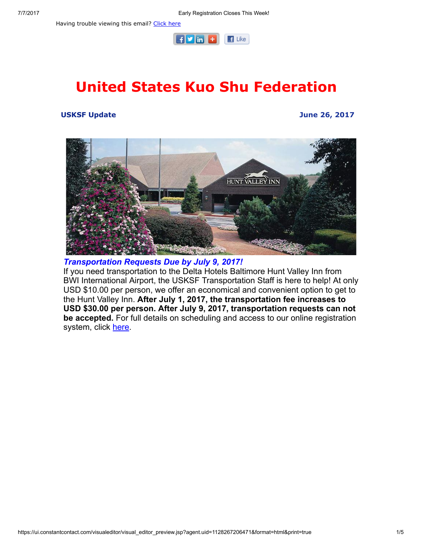Having trouble viewing this email? [Click](http://campaign.r20.constantcontact.com/render?ca=522d002a-6539-4653-a2ac-2bc3be4bf4d3&preview=true&m=1101951016402&id=preview) here



# United States Kuo Shu Federation

#### USKSF Update June 26, 2017



Transportation Requests Due by July 9, 2017!

If you need transportation to the Delta Hotels Baltimore Hunt Valley Inn from BWI International Airport, the USKSF Transportation Staff is here to help! At only USD \$10.00 per person, we offer an economical and convenient option to get to the Hunt Valley Inn. After July 1, 2017, the transportation fee increases to USD \$30.00 per person. After July 9, 2017, transportation requests can not be accepted. For full details on scheduling and access to our online registration system, click [here](https://usksf.org/transportation-and-accommodations/).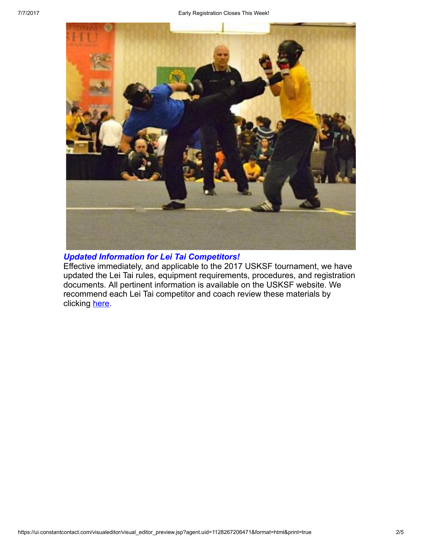

## Updated Information for Lei Tai Competitors!

Effective immediately, and applicable to the 2017 USKSF tournament, we have updated the Lei Tai rules, equipment requirements, procedures, and registration documents. All pertinent information is available on the USKSF website. We recommend each Lei Tai competitor and coach review these materials by clicking [here.](https://usksf.org/lei-tai/)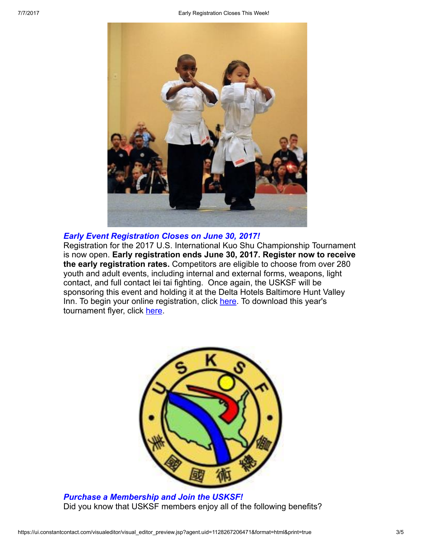

#### Early Event Registration Closes on June 30, 2017!

Registration for the 2017 U.S. International Kuo Shu Championship Tournament is now open. Early registration ends June 30, 2017. Register now to receive the early registration rates. Competitors are eligible to choose from over 280 youth and adult events, including internal and external forms, weapons, light contact, and full contact lei tai fighting. Once again, the USKSF will be sponsoring this event and holding it at the Delta Hotels Baltimore Hunt Valley Inn. To begin your online registration, click [here](http://www.wu-kui-tang.com/usksf/registration/welcome.aspx). To download this year's tournament flyer, click [here.](http://usksf.org/the-2017-kuo-shu-tournament-flyer-now-available/)



Purchase a Membership and Join the USKSF! Did you know that USKSF members enjoy all of the following benefits?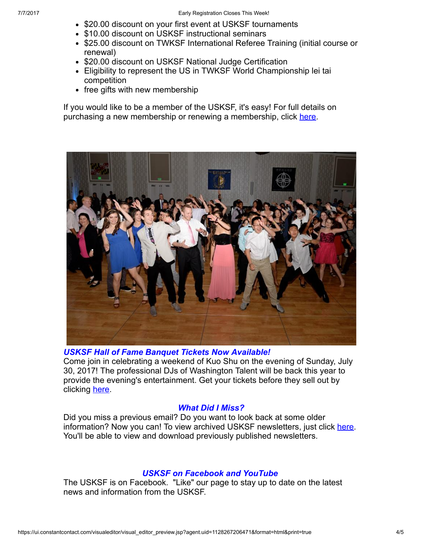- \$20.00 discount on your first event at USKSF tournaments
- \$10.00 discount on USKSF instructional seminars
- \$25.00 discount on TWKSF International Referee Training (initial course or renewal)
- \$20.00 discount on USKSF National Judge Certification
- Eligibility to represent the US in TWKSF World Championship lei tai competition
- free gifts with new membership

If you would like to be a member of the USKSF, it's easy! For full details on purchasing a new membership or renewing a membership, click [here.](https://usksf.org/membership/)



#### USKSF Hall of Fame Banquet Tickets Now Available!

Come join in celebrating a weekend of Kuo Shu on the evening of Sunday, July 30, 2017! The professional DJs of Washington Talent will be back this year to provide the evening's entertainment. Get your tickets before they sell out by clicking [here.](http://www.wu-kui-tang.com/usksf/registration/buytickets.aspx)

#### What Did I Miss?

Did you miss a previous email? Do you want to look back at some older information? Now you can! To view archived USKSF newsletters, just click [here](https://usksf.org/usksf-newsletters/). You'll be able to view and download previously published newsletters.

### USKSF on Facebook and YouTube

The USKSF is on Facebook. "Like" our page to stay up to date on the latest news and information from the USKSF.